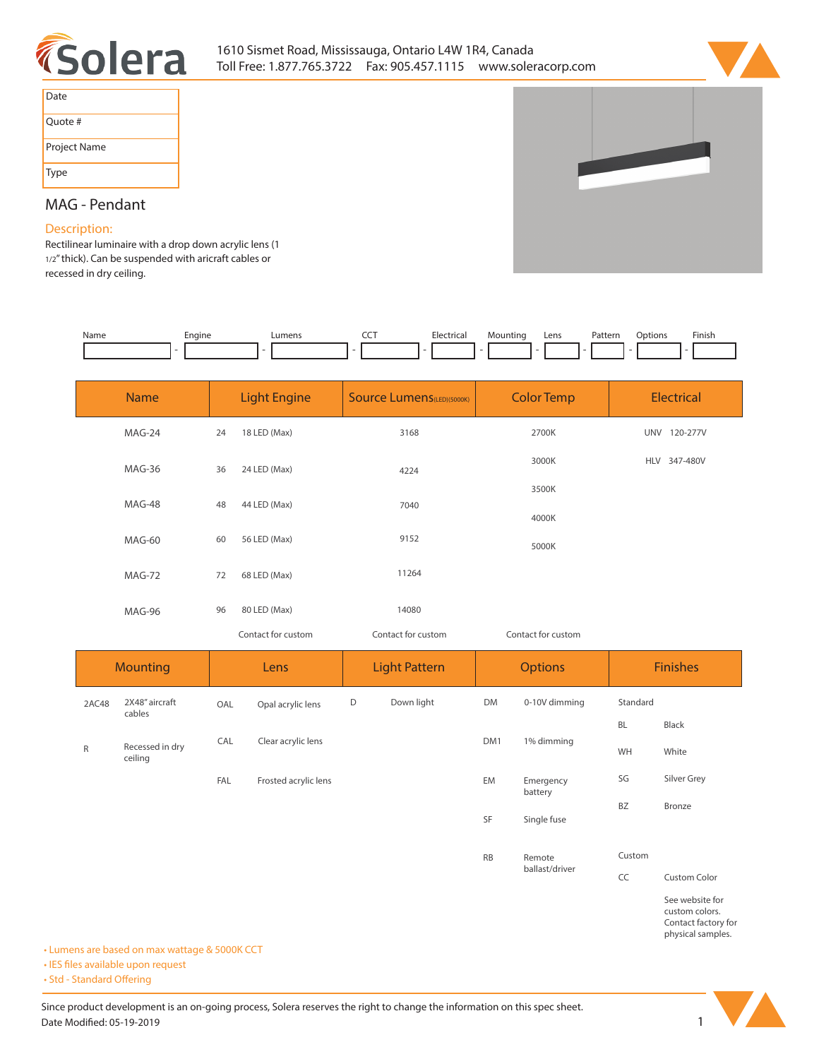



| Date         |
|--------------|
| Quote #      |
| Project Name |
| Type         |

# **MAG - Pendant**

## **Description:**

**Rectilinear luminaire with a drop down acrylic lens (1 1/2" thick). Can be suspended with aricraft cables or recessed in dry ceiling.** 

| Name | Enaine | _umen | --- | — Eler″<br>. | untinc | ens | Patterr<br>. | ntions | Finish<br>the contract of the contract of the |
|------|--------|-------|-----|--------------|--------|-----|--------------|--------|-----------------------------------------------|
|      |        |       |     |              |        |     |              |        |                                               |

| <b>Name</b> | <b>Light Engine</b> |                    | <b>Source Lumens (LED)(5000K)</b> | <b>Color Temp</b>  | <b>Electrical</b> |  |
|-------------|---------------------|--------------------|-----------------------------------|--------------------|-------------------|--|
| MAG-24      | 24                  | 18 LED (Max)       | 3168                              | 2700K              | UNV 120-277V      |  |
| MAG-36      | 36                  | 24 LED (Max)       | 4224                              | 3000K              | HLV 347-480V      |  |
| MAG-48      | 48                  | 44 LED (Max)       | 7040                              | 3500K              |                   |  |
| MAG-60      | 60                  | 56 LED (Max)       | 9152                              | 4000K              |                   |  |
|             |                     |                    | 11264                             | 5000K              |                   |  |
| MAG-72      | 72                  | 68 LED (Max)       |                                   |                    |                   |  |
| MAG-96      | 96                  | 80 LED (Max)       | 14080                             |                    |                   |  |
|             |                     | Contact for custom | Contact for custom                | Contact for custom |                   |  |

| <b>Mounting</b> |                            | Lens |                      | <b>Light Pattern</b> |            | <b>Options</b> |                      | <b>Finishes</b> |                                                          |
|-----------------|----------------------------|------|----------------------|----------------------|------------|----------------|----------------------|-----------------|----------------------------------------------------------|
| 2AC48           | 2X48" aircraft<br>cables   | OAL  | Opal acrylic lens    | D                    | Down light | DM             | 0-10V dimming        | Standard        |                                                          |
|                 |                            |      |                      |                      |            |                |                      | <b>BL</b>       | Black                                                    |
| ${\sf R}$       | Recessed in dry<br>ceiling | CAL  | Clear acrylic lens   |                      |            | DM1            | 1% dimming           | WH              | White                                                    |
|                 |                            | FAL  | Frosted acrylic lens |                      |            | EM             | Emergency<br>battery | SG              | Silver Grey                                              |
|                 |                            |      |                      |                      |            |                | Single fuse          | <b>BZ</b>       | Bronze                                                   |
|                 |                            |      |                      |                      |            | <b>RB</b>      | Remote               | Custom          |                                                          |
|                 |                            |      |                      |                      |            |                | ballast/driver       | CC              | Custom Color                                             |
|                 |                            |      |                      |                      |            |                |                      |                 | See website for<br>custom colors.<br>Contact factory for |

**• Lumens are based on max wattage & 5000K CCT**

**• IES files available upon request** 

• Std - Standard Offering



**physical samples.**